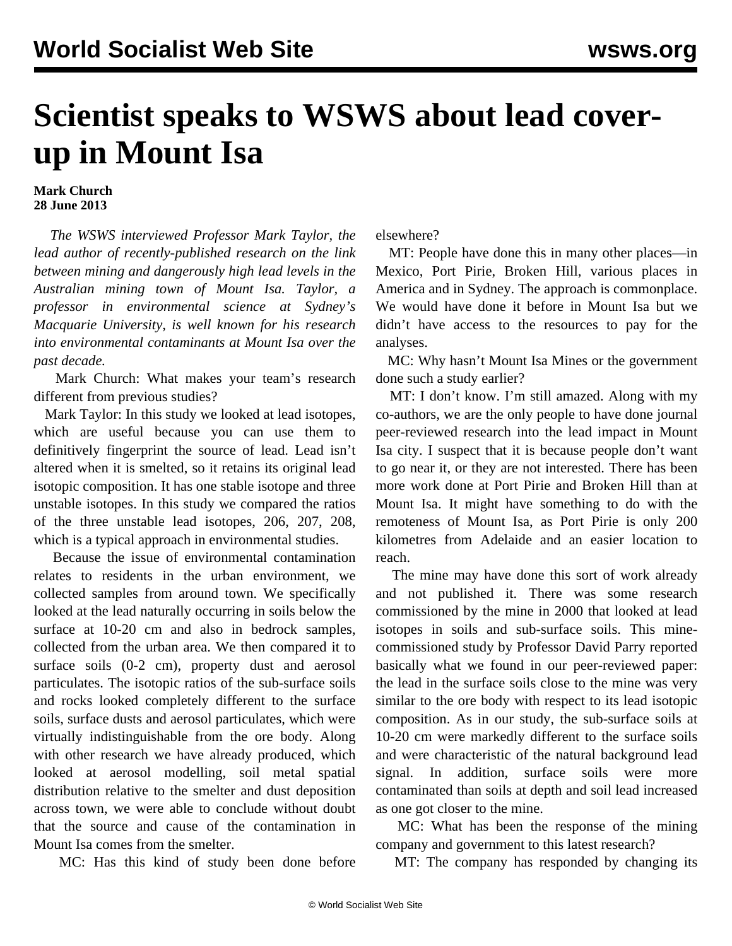## **Scientist speaks to WSWS about lead coverup in Mount Isa**

## **Mark Church 28 June 2013**

 *The WSWS interviewed Professor Mark Taylor, the lead author of recently-published research on the link between mining and dangerously high lead levels in the Australian mining town of Mount Isa. Taylor, a professor in environmental science at Sydney's Macquarie University, is well known for his research into environmental contaminants at Mount Isa over the past decade.*

 Mark Church: What makes your team's research different from previous studies?

 Mark Taylor: In this study we looked at lead isotopes, which are useful because you can use them to definitively fingerprint the source of lead. Lead isn't altered when it is smelted, so it retains its original lead isotopic composition. It has one stable isotope and three unstable isotopes. In this study we compared the ratios of the three unstable lead isotopes, 206, 207, 208, which is a typical approach in environmental studies.

 Because the issue of environmental contamination relates to residents in the urban environment, we collected samples from around town. We specifically looked at the lead naturally occurring in soils below the surface at 10-20 cm and also in bedrock samples, collected from the urban area. We then compared it to surface soils (0-2 cm), property dust and aerosol particulates. The isotopic ratios of the sub-surface soils and rocks looked completely different to the surface soils, surface dusts and aerosol particulates, which were virtually indistinguishable from the ore body. Along with other research we have already produced, which looked at aerosol modelling, soil metal spatial distribution relative to the smelter and dust deposition across town, we were able to conclude without doubt that the source and cause of the contamination in Mount Isa comes from the smelter.

MC: Has this kind of study been done before

elsewhere?

 MT: People have done this in many other places—in Mexico, Port Pirie, Broken Hill, various places in America and in Sydney. The approach is commonplace. We would have done it before in Mount Isa but we didn't have access to the resources to pay for the analyses.

 MC: Why hasn't Mount Isa Mines or the government done such a study earlier?

 MT: I don't know. I'm still amazed. Along with my co-authors, we are the only people to have done journal peer-reviewed research into the lead impact in Mount Isa city. I suspect that it is because people don't want to go near it, or they are not interested. There has been more work done at Port Pirie and Broken Hill than at Mount Isa. It might have something to do with the remoteness of Mount Isa, as Port Pirie is only 200 kilometres from Adelaide and an easier location to reach.

 The mine may have done this sort of work already and not published it. There was some research commissioned by the mine in 2000 that looked at lead isotopes in soils and sub-surface soils. This minecommissioned study by Professor David Parry reported basically what we found in our peer-reviewed paper: the lead in the surface soils close to the mine was very similar to the ore body with respect to its lead isotopic composition. As in our study, the sub-surface soils at 10-20 cm were markedly different to the surface soils and were characteristic of the natural background lead signal. In addition, surface soils were more contaminated than soils at depth and soil lead increased as one got closer to the mine.

 MC: What has been the response of the mining company and government to this latest research?

MT: The company has responded by changing its